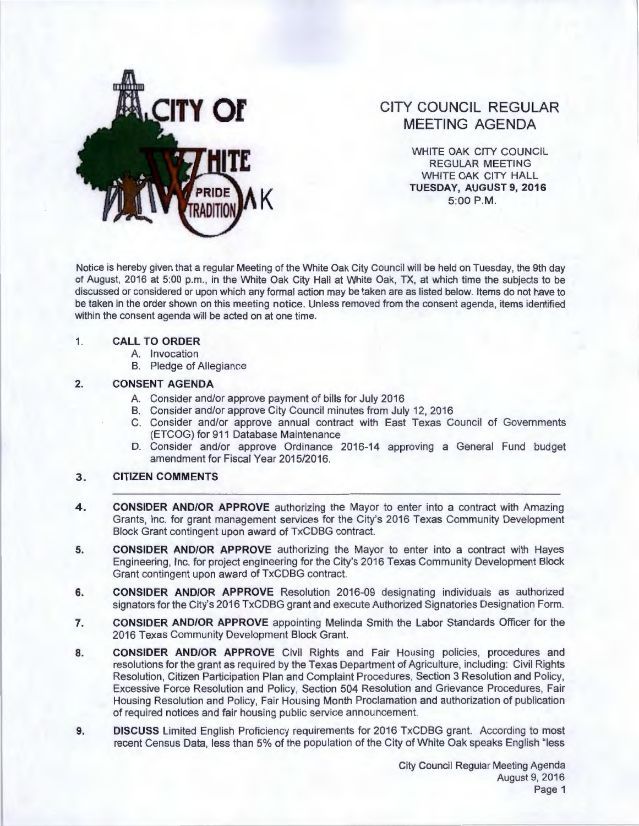

# **CITY COUNCIL REGULAR MEETING AGENDA**

WHITE OAK CITY COUNCIL REGULAR MEETING WHITE OAK CITY HALL **TUESDAY, AUGUST 9, 2016 5:00 P.M** 

Notice is hereby given that a regular Meeting of the White Oak City Council will be held on Tuesday, the 9th day of August, 2016 at 5:00 p.m., in the White Oak City Hall at White Oak, TX, at which time the subjects to be discussed or considered or upon which any formal action may be taken are as listed below. Items do not have to be taken in the order shown on this meeting notice. Unless removed from the consent agenda, items identified within the consent agenda will be acted on at one time.

#### 1. **CALL TO ORDER**

- A. Invocation
- B. Pledge of Allegiance

#### **2. CONSENT AGENDA**

- A. Consider and/or approve payment of bills for July 2016
- B. Consider and/or approve City Council minutes from July 12, 2016
- C. Consider and/or approve annual contract with East Texas Council of Governments (ETCOG) for 911 Database Maintenance
- D. Consider and/or approve Ordinance 2016-14 approving a General Fund budget amendment for Fiscal Year 2015/2016.

## **3. CITIZEN COMMENTS**

- **4. CONSIDER AND/OR APPROVE** authorizing the Mayor to enter into a contract with Amazing Grants, Inc. for grant management services for the City's 2016 Texas Community Development Block Grant contingent upon award of TxCDBG contract.
- **5. CONSIDER AND/OR APPROVE** authorizing the Mayor to enter into a contract with Hayes Engineering, Inc. for project engineering for the City's 2016 Texas Community Development Block Grant contingent upon award of TxCDBG contract.
- **6. CONSIDER AND/OR APPROVE** Resolution 2016-09 designating individuals as authorized signators for the City's 2016 TxCDBG grant and execute Authorized Signatories Designation Form.
- **7. CONSIDER AND/OR APPROVE** appointing Melinda Smith the Labor Standards Officer for the 2016 Texas Community Development Block Grant.
- **8. CONSIDER AND/OR APPROVE** Civil Rights and Fair Housing policies, procedures and resolutions for the grant as required by the Texas Department of Agriculture, including: Civil Rights Resolution, Citizen Participation Plan and Complaint Procedures, Section 3 Resolution and Policy, Excessive Force Resolution and Policy, Section 504 Resolution and Grievance Procedures, Fair Housing Resolution and Policy, Fair Housing Month Proclamation and authorization of publication of required notices and fair housing public service announcement.
- **9. DISCUSS** Limited English Proficiency requirements for 2016 TxCDBG grant. According to most recent Census Data, less than 5% of the population of the City of White Oak speaks English "less